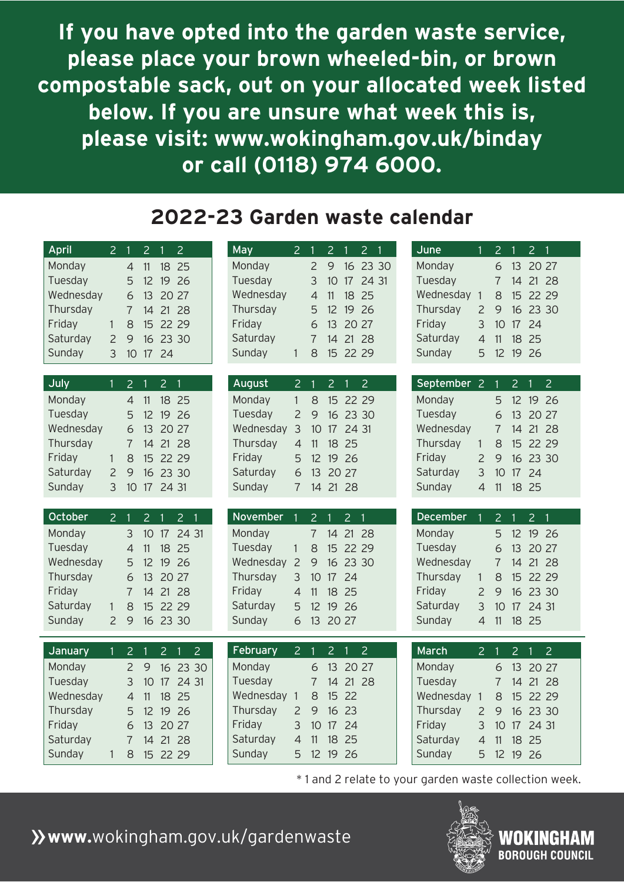## **2022-23 Garden waste calendar**

| <b>April</b>      | $\overline{2}$ |                                  | $\overline{2}$        | $\overline{2}$<br>1              | <b>May</b>        | 2              |                     | $\overline{2}$   | $\overline{2}$                            | June              |                | $\overline{2}$      |                       | 2 <sub>1</sub>                |  |
|-------------------|----------------|----------------------------------|-----------------------|----------------------------------|-------------------|----------------|---------------------|------------------|-------------------------------------------|-------------------|----------------|---------------------|-----------------------|-------------------------------|--|
| Monday            |                | $\overline{4}$                   | 11                    | 18<br>25                         | Monday            |                | 2                   | 9                | 16 23 30                                  | Monday            |                | 6                   | 13                    | 20 27                         |  |
| Tuesday           |                | 5                                | 12                    | 19<br>26                         | Tuesday           |                | 3                   | 10               | 17 24 31                                  | Tuesday           |                | $\overline{7}$      | 14                    | 21 28                         |  |
| Wednesday         |                | 6                                | 13                    | <b>20</b><br>27                  | Wednesday         |                | $\overline{4}$      | 11               | 18<br>25                                  | Wednesday 1       |                | 8                   | 15                    | 22 29                         |  |
| Thursday          |                | $\overline{7}$                   | 14                    | 21<br>-28                        | Thursday          |                | 5                   | 12               | 19 <sup>°</sup><br>26                     | Thursday          | $\overline{2}$ | 9                   | 16 <sup>16</sup>      | 23 30                         |  |
| Friday            | $\mathbf{1}$   | 8                                | 15 <sup>2</sup>       | 22 29                            | Friday            |                | 6                   | 13               | 20 27                                     | Friday            | 3              | 10                  | 17                    | 24                            |  |
| Saturday          | $\overline{2}$ | 9                                | 16                    | 23 30                            | Saturday          |                | $\overline{7}$      | 14               | 21<br>28                                  | Saturday          | $\overline{4}$ | 11                  | 18                    | 25                            |  |
| Sunday            | 3              | 10                               | 17                    | 24                               | Sunday            | $\mathbf{1}$   | 8                   | 15 <sub>15</sub> | 22 29                                     | Sunday            | 5              | 12                  | 19                    | 26                            |  |
| July              | $\mathbf{1}$   | $\overline{2}$                   |                       | $\overline{2}$<br>- 1            | August            | $\overline{2}$ |                     | 2 <sup>1</sup>   | $\overline{2}$<br>1                       | September 2       |                | 1                   | $\overline{2}$        | $\overline{2}$                |  |
| Monday            |                | $\overline{4}$                   | 11                    | 18<br>25                         | Monday            | 1.             | 8                   |                  | 15 22 29                                  | Monday            |                | 5                   | 12 <sup>2</sup>       | 19 26                         |  |
| Tuesday           |                | 5                                | 12                    | 19<br>26                         | Tuesday           | 2              | 9                   | 16 <sup>2</sup>  | 23 30                                     | Tuesday           |                | $\overline{6}$      | 13                    | 20 27                         |  |
| Wednesday         |                | 6                                | 13                    | 20 27                            | Wednesday         | $\mathcal{S}$  | 10                  | 17               | 24 31                                     | Wednesday         |                | $\overline{7}$      | 14                    | 21 28                         |  |
| Thursday          |                | $\overline{7}$                   |                       | 14 21 28                         | Thursday          | $\overline{4}$ | 11                  |                  | 18 25                                     | Thursday          | $\mathbf{1}$   | 8                   |                       | 15 22 29                      |  |
| Friday            | 1              | 8                                | 15                    | 22 29                            | Friday            | 5              | 12                  | 19               | 26                                        | Friday            | $\overline{2}$ | 9                   | 16 <sup>2</sup>       | 23 30                         |  |
| Saturday          | $\overline{2}$ | 9                                | 16                    | 23 30                            | Saturday          | 6              | 13                  | 20 27            |                                           | Saturday          | $\overline{3}$ | 10                  | 17                    | 24                            |  |
| Sunday            | 3              | 10                               |                       | 17 24 31                         | Sunday            | 7              | 14                  |                  | 21 28                                     | Sunday            | $\overline{4}$ | 11                  | 18 <sup>°</sup>       | 25                            |  |
| October           |                |                                  |                       |                                  |                   |                |                     |                  |                                           | <b>December</b>   |                |                     |                       |                               |  |
| Monday            | $\overline{2}$ | 3                                | $\overline{2}$        | 2 <sub>1</sub><br>24 31          | November          |                | $\overline{2}$<br>7 |                  | $\overline{2}$<br>$\mathbf 1$<br>21<br>28 | Monday            |                | $\overline{2}$<br>5 |                       | 2 <sub>1</sub>                |  |
| Tuesday           |                | $\overline{4}$                   | 10 <sup>°</sup><br>11 | 17<br>18<br>25                   | Monday<br>Tuesday | 1              | 8                   | 14<br>15         | 22 29                                     | Tuesday           |                | 6                   | 12 <sup>2</sup><br>13 | 19 26<br>20 27                |  |
| Wednesday         |                | 5                                | 12 <sup>2</sup>       | 19<br>26                         | Wednesday         | 2              | 9                   |                  | 16 23 30                                  | Wednesday         |                | $\overline{7}$      | 14                    | 21 28                         |  |
| Thursday          |                | 6                                |                       | 13 20 27                         | Thursday          | 3              | 10 <sup>1</sup>     | 17 24            |                                           | Thursday          | $\mathbf{1}$   | 8                   |                       | 15 22 29                      |  |
| Friday            |                | $\overline{7}$                   | 14                    | 21<br>28                         | Friday            | $\overline{4}$ | 11                  | 18               | 25                                        | Friday            | $\overline{2}$ | 9                   |                       | 16 23 30                      |  |
| Saturday          | $\mathbf{1}$   | 8                                |                       | 15 22 29                         | Saturday          | 5              | 12 <sup>2</sup>     | 19 26            |                                           | Saturday          | $\mathcal{S}$  | 10 <sup>°</sup>     |                       | 17 24 31                      |  |
| Sunday            | $\overline{2}$ | 9                                |                       | 16 23 30                         | Sunday            | 6              |                     | 13 20 27         |                                           | Sunday            | $\overline{4}$ | 11                  |                       | 18 25                         |  |
|                   |                |                                  |                       |                                  | <b>February</b>   |                |                     |                  |                                           | March             |                |                     |                       |                               |  |
| <b>January</b>    | $\mathbf{1}$   | 2 <sub>1</sub><br>$\overline{2}$ |                       | 2 <sub>1</sub><br>$\overline{2}$ | Monday            | $2 \quad 1$    |                     | 2 <sub>1</sub>   | $\overline{2}$                            |                   | 2 <sub>1</sub> |                     |                       | $2 \quad 1$<br>$\overline{2}$ |  |
| Monday<br>Tuesday |                | 3                                | 9<br>10 <sup>°</sup>  | 16 23 30<br>17 24 31             | Tuesday           |                | 6<br>$\overline{7}$ | 14               | 13 20 27<br>21 28                         | Monday<br>Tuesday |                | 6<br>$\overline{1}$ |                       | 13 20 27                      |  |
| Wednesday         |                | $\overline{4}$                   | 11                    | 18<br>25                         | Wednesday 1       |                | 8                   |                  | 15 22                                     | Wednesday 1       |                | 8                   |                       | 14 21 28<br>15 22 29          |  |
| Thursday          |                | 5                                |                       | 12 19<br>26                      | Thursday          | $\overline{2}$ | 9                   |                  | 16 23                                     | Thursday          | $\overline{2}$ | 9                   |                       | 16 23 30                      |  |
| Friday            |                | 6                                | 13 <sup>°</sup>       | 20 27                            | Friday            | 3              | 10 <sup>°</sup>     | 17               | 24                                        | Friday            | 3              | 10                  | 17                    | 24 31                         |  |
| Saturday          |                | $\overline{7}$                   |                       | 14 21 28                         | Saturday          | $\overline{4}$ | 11                  | 18 25            |                                           | Saturday          | $\overline{4}$ | 11                  | 18                    | 25                            |  |
| Sunday            | 1              | 8                                |                       | 15 22 29                         | Sunday            | 5              |                     | 12 19 26         |                                           | Sunday            | 5              |                     |                       | 12 19 26                      |  |

**If you have opted into the garden waste service, please place your brown wheeled-bin, or brown compostable sack, out on your allocated week listed below. If you are unsure what week this is, please visit: www.wokingham.gov.uk/binday or call (0118) 974 6000.**

### »**www.**wokingham.gov.uk/gardenwaste



\* 1 and 2 relate to your garden waste collection week.